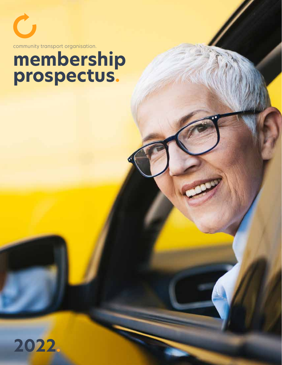community transport organisation.

 $\mathbf C$ 

## **membership prospectus.**

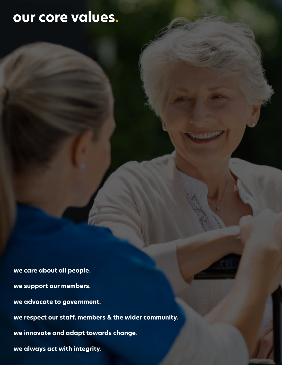#### **our core values.**

**we care about all people. we support our members. we advocate to government. we respect our staff, members & the wider community. we innovate and adapt towards change. we always act with integrity.**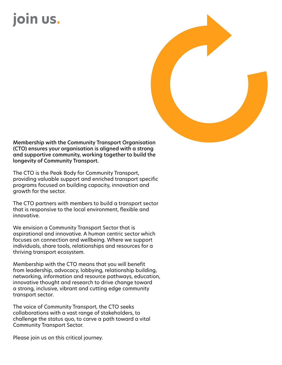## **join us.**



Membership with the Community Transport Organisation (CTO) ensures your organisation is aligned with a strong and supportive community, working together to build the longevity of Community Transport.

The CTO is the Peak Body for Community Transport, providing valuable support and enriched transport specific programs focused on building capacity, innovation and growth for the sector.

The CTO partners with members to build a transport sector that is responsive to the local environment, flexible and innovative.

We envision a Community Transport Sector that is aspirational and innovative. A human centric sector which focuses on connection and wellbeing. Where we support individuals, share tools, relationships and resources for a thriving transport ecosystem.

Membership with the CTO means that you will benefit from leadership, advocacy, lobbying, relationship building, networking, information and resource pathways, education, innovative thought and research to drive change toward a strong, inclusive, vibrant and cutting edge community transport sector.

The voice of Community Transport, the CTO seeks collaborations with a vast range of stakeholders, to challenge the status quo, to carve a path toward a vital Community Transport Sector.

Please join us on this critical journey.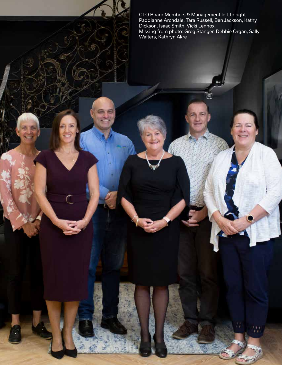CTO Board Members & Management left to right: Paddianne Archdale, Tara Russell, Ben Jackson, Kathy Dickson, Isaac Smith, Vicki Lennox. Missing from photo: Greg Stanger, Debbie Organ, Sally Walters, Kathryn Akre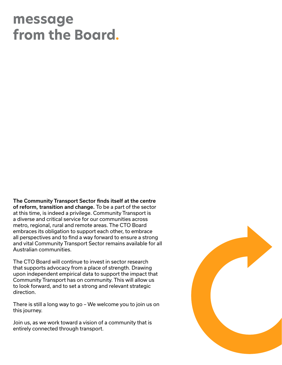#### **message from the Board.**

The Community Transport Sector finds itself at the centre of reform, transition and change. To be a part of the sector at this time, is indeed a privilege. Community Transport is a diverse and critical service for our communities across metro, regional, rural and remote areas. The CTO Board embraces its obligation to support each other, to embrace all perspectives and to find a way forward to ensure a strong and vital Community Transport Sector remains available for all Australian communities.

The CTO Board will continue to invest in sector research that supports advocacy from a place of strength. Drawing upon independent empirical data to support the impact that Community Transport has on community. This will allow us to look forward, and to set a strong and relevant strategic direction.

There is still a long way to go – We welcome you to join us on this journey.

Join us, as we work toward a vision of a community that is entirely connected through transport.

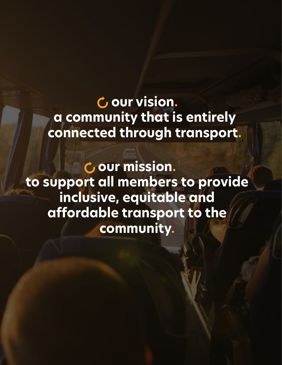**our vision. a community that is entirely connected through transport.**

**our mission. to support all members to provide inclusive, equitable and affordable transport to the community.**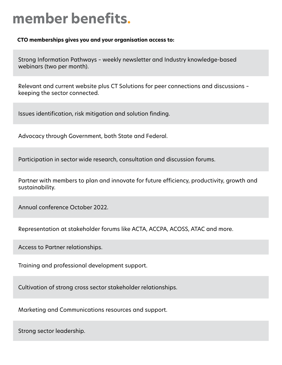#### **member benefits.**

**CTO memberships gives you and your organisation access to:**

Strong Information Pathways – weekly newsletter and Industry knowledge-based webinars (two per month).

Relevant and current website plus CT Solutions for peer connections and discussions – keeping the sector connected.

Issues identification, risk mitigation and solution finding.

Advocacy through Government, both State and Federal.

Participation in sector wide research, consultation and discussion forums.

Partner with members to plan and innovate for future efficiency, productivity, growth and sustainability.

Annual conference October 2022.

Representation at stakeholder forums like ACTA, ACCPA, ACOSS, ATAC and more.

Access to Partner relationships.

Training and professional development support.

Cultivation of strong cross sector stakeholder relationships.

Marketing and Communications resources and support.

Strong sector leadership.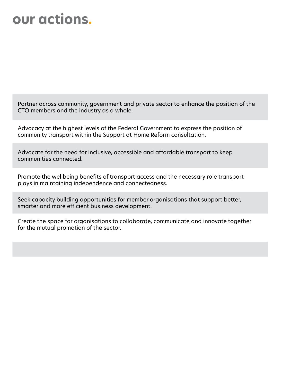#### **our actions.**

Partner across community, government and private sector to enhance the position of the CTO members and the industry as a whole.

Advocacy at the highest levels of the Federal Government to express the position of community transport within the Support at Home Reform consultation.

Advocate for the need for inclusive, accessible and affordable transport to keep communities connected.

Promote the wellbeing benefits of transport access and the necessary role transport plays in maintaining independence and connectedness.

Seek capacity building opportunities for member organisations that support better, smarter and more efficient business development.

Create the space for organisations to collaborate, communicate and innovate together for the mutual promotion of the sector.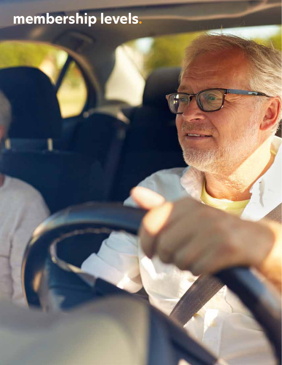# **membership levels.**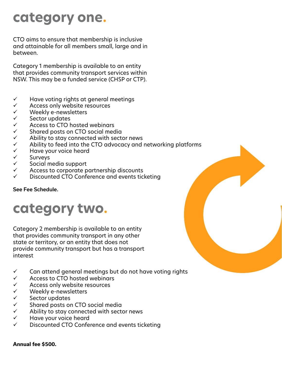#### **category one.**

CTO aims to ensure that membership is inclusive and attainable for all members small, large and in between.

Category 1 membership is available to an entity that provides community transport services within NSW. This may be a funded service (CHSP or CTP).

- $\checkmark$  Have voting rights at general meetings
- $\checkmark$  Access only website resources<br> $\checkmark$  Weekly e-newsletters
- $\checkmark$  Weekly e-newsletters<br> $\checkmark$  Sector updates
- $\checkmark$  Sector updates<br> $\checkmark$  Access to CTO h
- $\checkmark$  Access to CTO hosted webinars<br> $\checkmark$  Shared posts on CTO social mec
- $\checkmark$  Shared posts on CTO social media<br> $\checkmark$  Ability to stay connected with sect
- Ability to stay connected with sector news
- $\checkmark$  Ability to feed into the CTO advocacy and networking platforms<br> $\checkmark$  Have your voice heard
- Have your voice heard
- $\checkmark$  Surveys
- $\checkmark$  Social media support
- $\checkmark$  Access to corporate partnership discounts
- $\checkmark$  Discounted CTO Conference and events ticketing

#### See Fee Schedule.

#### **category two.**

Category 2 membership is available to an entity that provides community transport in any other state or territory, or an entity that does not provide community transport but has a transport interest

- $\checkmark$  Can attend general meetings but do not have voting rights
- $\checkmark$  Access to CTO hosted webinars
- $\checkmark$  Access only website resources
- $\checkmark$  Weekly e-newsletters
- $\checkmark$  Sector updates
- $\checkmark$  Shared posts on CTO social media
- $\checkmark$  Ability to stay connected with sector news
- $\checkmark$  Have your voice heard
- $\checkmark$  Discounted CTO Conference and events ticketing

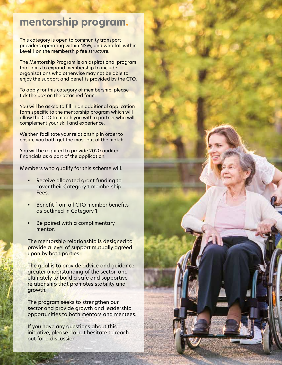#### **mentorship program.**

This category is open to community transport providers operating within NSW, and who fall within Level 1 on the membership fee structure.

The Mentorship Program is an aspirational program that aims to expand membership to include organisations who otherwise may not be able to enjoy the support and benefits provided by the CTO.

To apply for this category of membership, please tick the box on the attached form.

You will be asked to fill in an additional application form specific to the mentorship program which will allow the CTO to match you with a partner who will complement your skill and experience.

We then facilitate your relationship in order to ensure you both get the most out of the match.

You will be required to provide 2020 audited financials as a part of the application.

Members who qualify for this scheme will:

- Receive allocated grant funding to cover their Category 1 membership Fees.
- Benefit from all CTO member benefits as outlined in Category 1.
- Be paired with a complimentary mentor.

The mentorship relationship is designed to provide a level of support mutually agreed upon by both parties.

The goal is to provide advice and guidance, greater understanding of the sector, and ultimately to build a safe and supportive relationship that promotes stability and growth.

The program seeks to strengthen our sector and provide growth and leadership opportunities to both mentors and mentees.

If you have any questions about this initiative, please do not hesitate to reach out for a discussion.

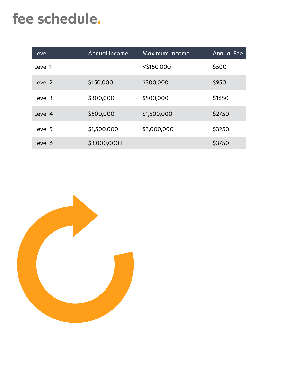#### **fee schedule.**

| Level   | <b>Annual Income</b> | Maximum Income | <b>Annual Fee</b> |
|---------|----------------------|----------------|-------------------|
| Level 1 |                      | $<$ \$150,000  | \$500             |
| Level 2 | \$150,000            | \$300,000      | \$950             |
| Level 3 | \$300,000            | \$500,000      | \$1650            |
| Level 4 | \$500,000            | \$1,500,000    | \$2750            |
| Level 5 | \$1,500,000          | \$3,000,000    | \$3250            |
| Level 6 | \$3,000,000+         |                | \$3750            |

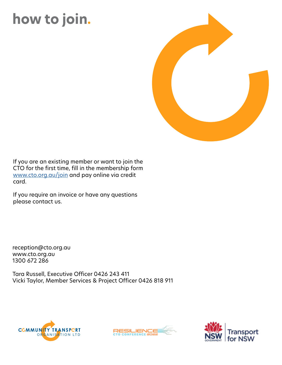### **how to join.**



If you are an existing member or want to join the CTO for the first time, fill in the membership form www.cto.org.au/join and pay online via credit card.

If you require an invoice or have any questions please contact us.

reception@cto.org.au www.cto.org.au 1300 672 286

Tara Russell, Executive Officer 0426 243 411 Vicki Taylor, Member Services & Project Officer 0426 818 911